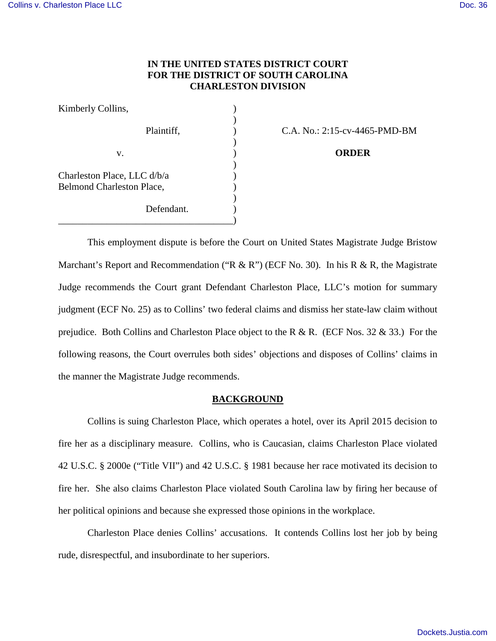# **IN THE UNITED STATES DISTRICT COURT FOR THE DISTRICT OF SOUTH CAROLINA CHARLESTON DIVISION**

| Kimberly Collins,                                               |  |
|-----------------------------------------------------------------|--|
| Plaintiff,                                                      |  |
| v.                                                              |  |
| Charleston Place, LLC d/b/a<br><b>Belmond Charleston Place,</b> |  |
| Defendant.                                                      |  |

C.A. No.: 2:15-cv-4465-PMD-BM

v. ) **ORDER**

This employment dispute is before the Court on United States Magistrate Judge Bristow Marchant's Report and Recommendation ("R & R") (ECF No. 30). In his R & R, the Magistrate Judge recommends the Court grant Defendant Charleston Place, LLC's motion for summary judgment (ECF No. 25) as to Collins' two federal claims and dismiss her state-law claim without prejudice. Both Collins and Charleston Place object to the R & R. (ECF Nos. 32 & 33.) For the following reasons, the Court overrules both sides' objections and disposes of Collins' claims in the manner the Magistrate Judge recommends.

# **BACKGROUND**

Collins is suing Charleston Place, which operates a hotel, over its April 2015 decision to fire her as a disciplinary measure. Collins, who is Caucasian, claims Charleston Place violated 42 U.S.C. § 2000e ("Title VII") and 42 U.S.C. § 1981 because her race motivated its decision to fire her. She also claims Charleston Place violated South Carolina law by firing her because of her political opinions and because she expressed those opinions in the workplace.

Charleston Place denies Collins' accusations. It contends Collins lost her job by being rude, disrespectful, and insubordinate to her superiors.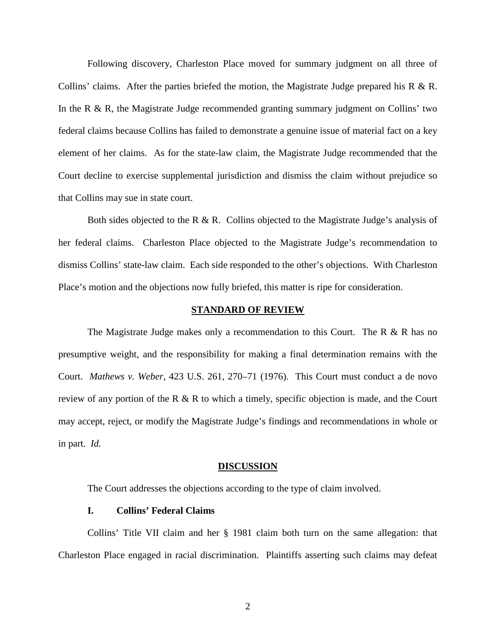Following discovery, Charleston Place moved for summary judgment on all three of Collins' claims. After the parties briefed the motion, the Magistrate Judge prepared his R & R. In the R & R, the Magistrate Judge recommended granting summary judgment on Collins' two federal claims because Collins has failed to demonstrate a genuine issue of material fact on a key element of her claims. As for the state-law claim, the Magistrate Judge recommended that the Court decline to exercise supplemental jurisdiction and dismiss the claim without prejudice so that Collins may sue in state court.

Both sides objected to the R  $\&$  R. Collins objected to the Magistrate Judge's analysis of her federal claims. Charleston Place objected to the Magistrate Judge's recommendation to dismiss Collins' state-law claim. Each side responded to the other's objections. With Charleston Place's motion and the objections now fully briefed, this matter is ripe for consideration.

#### **STANDARD OF REVIEW**

The Magistrate Judge makes only a recommendation to this Court. The  $R \& R$  has no presumptive weight, and the responsibility for making a final determination remains with the Court. *Mathews v. Weber*, 423 U.S. 261, 270–71 (1976). This Court must conduct a de novo review of any portion of the R & R to which a timely, specific objection is made, and the Court may accept, reject, or modify the Magistrate Judge's findings and recommendations in whole or in part. *Id.*

#### **DISCUSSION**

The Court addresses the objections according to the type of claim involved.

### **I. Collins' Federal Claims**

 Collins' Title VII claim and her § 1981 claim both turn on the same allegation: that Charleston Place engaged in racial discrimination. Plaintiffs asserting such claims may defeat

2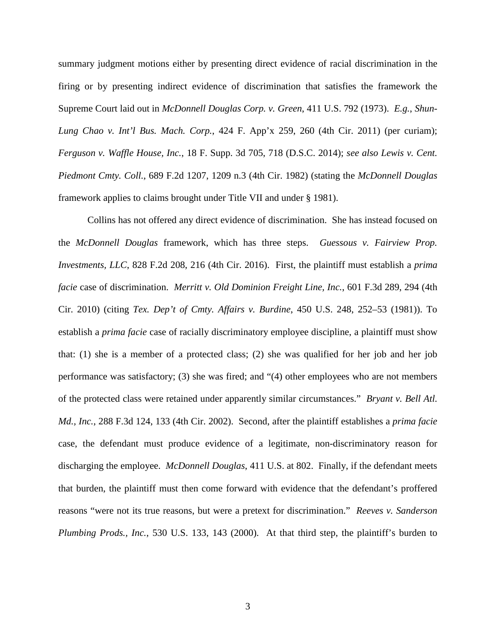summary judgment motions either by presenting direct evidence of racial discrimination in the firing or by presenting indirect evidence of discrimination that satisfies the framework the Supreme Court laid out in *McDonnell Douglas Corp. v. Green*, 411 U.S. 792 (1973). *E.g.*, *Shun-Lung Chao v. Int'l Bus. Mach. Corp.*, 424 F. App'x 259, 260 (4th Cir. 2011) (per curiam); *Ferguson v. Waffle House, Inc.*, 18 F. Supp. 3d 705, 718 (D.S.C. 2014); *see also Lewis v. Cent. Piedmont Cmty. Coll.*, 689 F.2d 1207, 1209 n.3 (4th Cir. 1982) (stating the *McDonnell Douglas* framework applies to claims brought under Title VII and under § 1981).

 Collins has not offered any direct evidence of discrimination. She has instead focused on the *McDonnell Douglas* framework, which has three steps. *Guessous v. Fairview Prop. Investments, LLC*, 828 F.2d 208, 216 (4th Cir. 2016). First, the plaintiff must establish a *prima facie* case of discrimination. *Merritt v. Old Dominion Freight Line, Inc.*, 601 F.3d 289, 294 (4th Cir. 2010) (citing *Tex. Dep't of Cmty. Affairs v. Burdine*, 450 U.S. 248, 252–53 (1981)). To establish a *prima facie* case of racially discriminatory employee discipline, a plaintiff must show that: (1) she is a member of a protected class; (2) she was qualified for her job and her job performance was satisfactory; (3) she was fired; and "(4) other employees who are not members of the protected class were retained under apparently similar circumstances." *Bryant v. Bell Atl. Md., Inc.*, 288 F.3d 124, 133 (4th Cir. 2002). Second, after the plaintiff establishes a *prima facie* case, the defendant must produce evidence of a legitimate, non-discriminatory reason for discharging the employee. *McDonnell Douglas*, 411 U.S. at 802. Finally, if the defendant meets that burden, the plaintiff must then come forward with evidence that the defendant's proffered reasons "were not its true reasons, but were a pretext for discrimination." *Reeves v. Sanderson Plumbing Prods., Inc.*, 530 U.S. 133, 143 (2000). At that third step, the plaintiff's burden to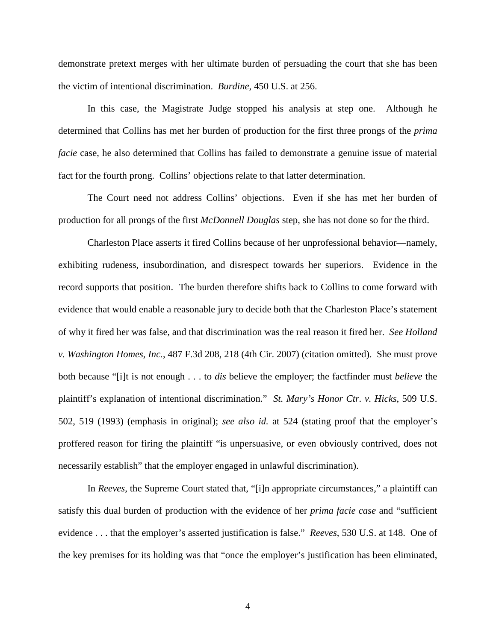demonstrate pretext merges with her ultimate burden of persuading the court that she has been the victim of intentional discrimination. *Burdine*, 450 U.S. at 256.

In this case, the Magistrate Judge stopped his analysis at step one. Although he determined that Collins has met her burden of production for the first three prongs of the *prima facie* case, he also determined that Collins has failed to demonstrate a genuine issue of material fact for the fourth prong. Collins' objections relate to that latter determination.

The Court need not address Collins' objections. Even if she has met her burden of production for all prongs of the first *McDonnell Douglas* step, she has not done so for the third.

Charleston Place asserts it fired Collins because of her unprofessional behavior—namely, exhibiting rudeness, insubordination, and disrespect towards her superiors. Evidence in the record supports that position. The burden therefore shifts back to Collins to come forward with evidence that would enable a reasonable jury to decide both that the Charleston Place's statement of why it fired her was false, and that discrimination was the real reason it fired her. *See Holland v. Washington Homes, Inc.*, 487 F.3d 208, 218 (4th Cir. 2007) (citation omitted). She must prove both because "[i]t is not enough . . . to *dis* believe the employer; the factfinder must *believe* the plaintiff's explanation of intentional discrimination." *St. Mary's Honor Ctr. v. Hicks*, 509 U.S. 502, 519 (1993) (emphasis in original); *see also id.* at 524 (stating proof that the employer's proffered reason for firing the plaintiff "is unpersuasive, or even obviously contrived, does not necessarily establish" that the employer engaged in unlawful discrimination).

In *Reeves*, the Supreme Court stated that, "[i]n appropriate circumstances," a plaintiff can satisfy this dual burden of production with the evidence of her *prima facie case* and "sufficient evidence . . . that the employer's asserted justification is false." *Reeves*, 530 U.S. at 148. One of the key premises for its holding was that "once the employer's justification has been eliminated,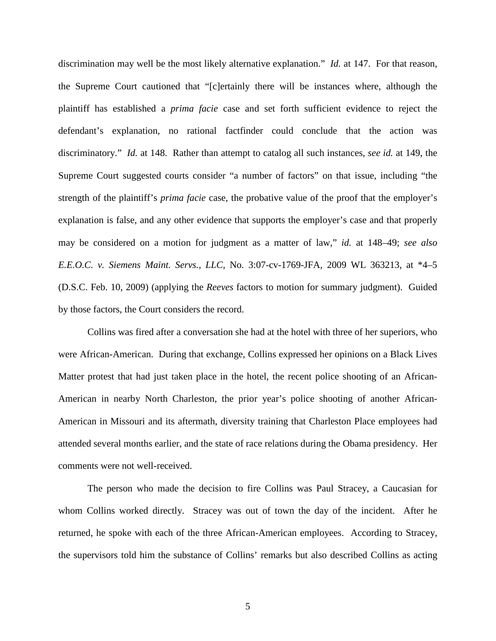discrimination may well be the most likely alternative explanation." *Id.* at 147. For that reason, the Supreme Court cautioned that "[c]ertainly there will be instances where, although the plaintiff has established a *prima facie* case and set forth sufficient evidence to reject the defendant's explanation, no rational factfinder could conclude that the action was discriminatory." *Id.* at 148. Rather than attempt to catalog all such instances, *see id.* at 149, the Supreme Court suggested courts consider "a number of factors" on that issue, including "the strength of the plaintiff's *prima facie* case, the probative value of the proof that the employer's explanation is false, and any other evidence that supports the employer's case and that properly may be considered on a motion for judgment as a matter of law," *id.* at 148–49; *see also E.E.O.C. v. Siemens Maint. Servs., LLC*, No. 3:07-cv-1769-JFA, 2009 WL 363213, at \*4–5 (D.S.C. Feb. 10, 2009) (applying the *Reeves* factors to motion for summary judgment). Guided by those factors, the Court considers the record.

Collins was fired after a conversation she had at the hotel with three of her superiors, who were African-American. During that exchange, Collins expressed her opinions on a Black Lives Matter protest that had just taken place in the hotel, the recent police shooting of an African-American in nearby North Charleston, the prior year's police shooting of another African-American in Missouri and its aftermath, diversity training that Charleston Place employees had attended several months earlier, and the state of race relations during the Obama presidency. Her comments were not well-received.

The person who made the decision to fire Collins was Paul Stracey, a Caucasian for whom Collins worked directly. Stracey was out of town the day of the incident. After he returned, he spoke with each of the three African-American employees. According to Stracey, the supervisors told him the substance of Collins' remarks but also described Collins as acting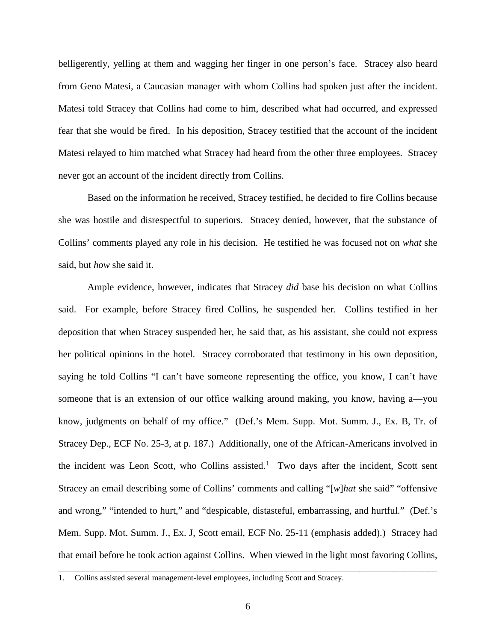belligerently, yelling at them and wagging her finger in one person's face. Stracey also heard from Geno Matesi, a Caucasian manager with whom Collins had spoken just after the incident. Matesi told Stracey that Collins had come to him, described what had occurred, and expressed fear that she would be fired. In his deposition, Stracey testified that the account of the incident Matesi relayed to him matched what Stracey had heard from the other three employees. Stracey never got an account of the incident directly from Collins.

Based on the information he received, Stracey testified, he decided to fire Collins because she was hostile and disrespectful to superiors. Stracey denied, however, that the substance of Collins' comments played any role in his decision. He testified he was focused not on *what* she said, but *how* she said it.

Ample evidence, however, indicates that Stracey *did* base his decision on what Collins said. For example, before Stracey fired Collins, he suspended her. Collins testified in her deposition that when Stracey suspended her, he said that, as his assistant, she could not express her political opinions in the hotel. Stracey corroborated that testimony in his own deposition, saying he told Collins "I can't have someone representing the office, you know, I can't have someone that is an extension of our office walking around making, you know, having a—you know, judgments on behalf of my office." (Def.'s Mem. Supp. Mot. Summ. J., Ex. B, Tr. of Stracey Dep., ECF No. 25-3, at p. 187.) Additionally, one of the African-Americans involved in the incident was Leon Scott, who Collins assisted.<sup>[1](#page-5-0)</sup> Two days after the incident, Scott sent Stracey an email describing some of Collins' comments and calling "[*w*]*hat* she said" "offensive and wrong," "intended to hurt," and "despicable, distasteful, embarrassing, and hurtful." (Def.'s Mem. Supp. Mot. Summ. J., Ex. J, Scott email, ECF No. 25-11 (emphasis added).) Stracey had that email before he took action against Collins. When viewed in the light most favoring Collins,

\_\_\_\_\_\_\_\_\_\_\_\_\_\_\_\_\_\_\_\_\_\_\_\_\_\_\_\_\_\_\_\_\_\_\_\_\_\_\_\_\_\_\_\_\_\_\_\_\_\_\_\_\_\_\_\_\_\_\_\_\_\_\_\_\_\_\_\_\_\_\_\_\_\_\_\_\_\_

<span id="page-5-0"></span><sup>1.</sup> Collins assisted several management-level employees, including Scott and Stracey.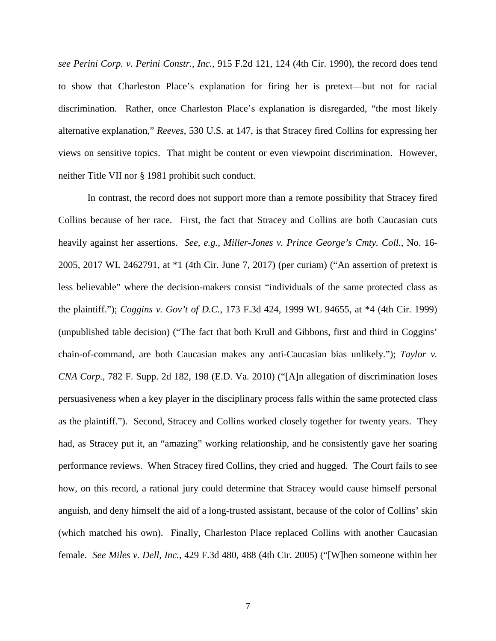*see Perini Corp. v. Perini Constr., Inc.*, 915 F.2d 121, 124 (4th Cir. 1990), the record does tend to show that Charleston Place's explanation for firing her is pretext—but not for racial discrimination. Rather, once Charleston Place's explanation is disregarded, "the most likely alternative explanation," *Reeves*, 530 U.S. at 147, is that Stracey fired Collins for expressing her views on sensitive topics. That might be content or even viewpoint discrimination. However, neither Title VII nor § 1981 prohibit such conduct.

In contrast, the record does not support more than a remote possibility that Stracey fired Collins because of her race. First, the fact that Stracey and Collins are both Caucasian cuts heavily against her assertions. *See, e.g.*, *Miller-Jones v. Prince George's Cmty. Coll.*, No. 16- 2005, 2017 WL 2462791, at \*1 (4th Cir. June 7, 2017) (per curiam) ("An assertion of pretext is less believable" where the decision-makers consist "individuals of the same protected class as the plaintiff."); *Coggins v. Gov't of D.C.*, 173 F.3d 424, 1999 WL 94655, at \*4 (4th Cir. 1999) (unpublished table decision) ("The fact that both Krull and Gibbons, first and third in Coggins' chain-of-command, are both Caucasian makes any anti-Caucasian bias unlikely."); *Taylor v. CNA Corp.*, 782 F. Supp. 2d 182, 198 (E.D. Va. 2010) ("[A]n allegation of discrimination loses persuasiveness when a key player in the disciplinary process falls within the same protected class as the plaintiff."). Second, Stracey and Collins worked closely together for twenty years. They had, as Stracey put it, an "amazing" working relationship, and he consistently gave her soaring performance reviews. When Stracey fired Collins, they cried and hugged. The Court fails to see how, on this record, a rational jury could determine that Stracey would cause himself personal anguish, and deny himself the aid of a long-trusted assistant, because of the color of Collins' skin (which matched his own). Finally, Charleston Place replaced Collins with another Caucasian female. *See Miles v. Dell, Inc.*, 429 F.3d 480, 488 (4th Cir. 2005) ("[W]hen someone within her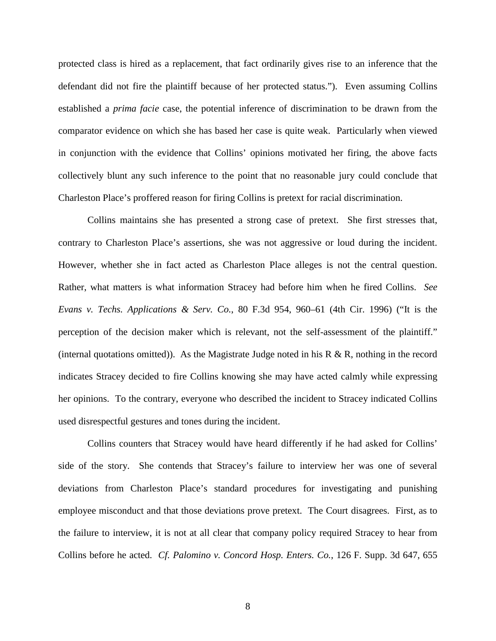protected class is hired as a replacement, that fact ordinarily gives rise to an inference that the defendant did not fire the plaintiff because of her protected status."). Even assuming Collins established a *prima facie* case, the potential inference of discrimination to be drawn from the comparator evidence on which she has based her case is quite weak. Particularly when viewed in conjunction with the evidence that Collins' opinions motivated her firing, the above facts collectively blunt any such inference to the point that no reasonable jury could conclude that Charleston Place's proffered reason for firing Collins is pretext for racial discrimination.

Collins maintains she has presented a strong case of pretext. She first stresses that, contrary to Charleston Place's assertions, she was not aggressive or loud during the incident. However, whether she in fact acted as Charleston Place alleges is not the central question. Rather, what matters is what information Stracey had before him when he fired Collins. *See Evans v. Techs. Applications & Serv. Co.*, 80 F.3d 954, 960–61 (4th Cir. 1996) ("It is the perception of the decision maker which is relevant, not the self-assessment of the plaintiff." (internal quotations omitted)). As the Magistrate Judge noted in his  $R \& R$ , nothing in the record indicates Stracey decided to fire Collins knowing she may have acted calmly while expressing her opinions. To the contrary, everyone who described the incident to Stracey indicated Collins used disrespectful gestures and tones during the incident.

Collins counters that Stracey would have heard differently if he had asked for Collins' side of the story. She contends that Stracey's failure to interview her was one of several deviations from Charleston Place's standard procedures for investigating and punishing employee misconduct and that those deviations prove pretext. The Court disagrees. First, as to the failure to interview, it is not at all clear that company policy required Stracey to hear from Collins before he acted. *Cf. Palomino v. Concord Hosp. Enters. Co.*, 126 F. Supp. 3d 647, 655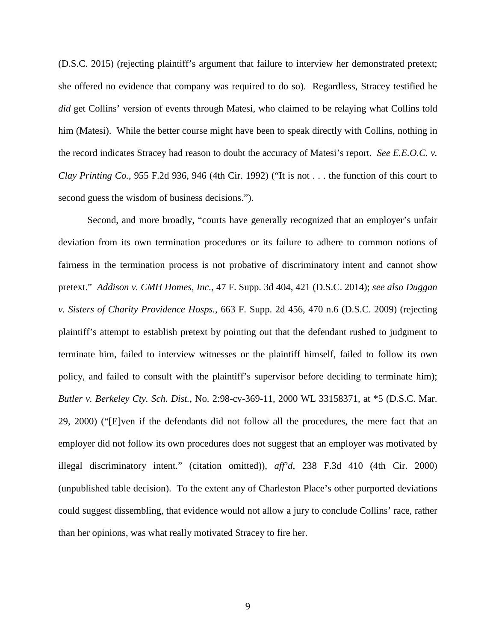(D.S.C. 2015) (rejecting plaintiff's argument that failure to interview her demonstrated pretext; she offered no evidence that company was required to do so). Regardless, Stracey testified he *did* get Collins' version of events through Matesi, who claimed to be relaying what Collins told him (Matesi). While the better course might have been to speak directly with Collins, nothing in the record indicates Stracey had reason to doubt the accuracy of Matesi's report. *See E.E.O.C. v. Clay Printing Co.*, 955 F.2d 936, 946 (4th Cir. 1992) ("It is not . . . the function of this court to second guess the wisdom of business decisions.").

Second, and more broadly, "courts have generally recognized that an employer's unfair deviation from its own termination procedures or its failure to adhere to common notions of fairness in the termination process is not probative of discriminatory intent and cannot show pretext." *Addison v. CMH Homes, Inc.*, 47 F. Supp. 3d 404, 421 (D.S.C. 2014); *see also Duggan v. Sisters of Charity Providence Hosps.*, 663 F. Supp. 2d 456, 470 n.6 (D.S.C. 2009) (rejecting plaintiff's attempt to establish pretext by pointing out that the defendant rushed to judgment to terminate him, failed to interview witnesses or the plaintiff himself, failed to follow its own policy, and failed to consult with the plaintiff's supervisor before deciding to terminate him); *Butler v. Berkeley Cty. Sch. Dist.*, No. 2:98-cv-369-11, 2000 WL 33158371, at \*5 (D.S.C. Mar. 29, 2000) ("[E]ven if the defendants did not follow all the procedures, the mere fact that an employer did not follow its own procedures does not suggest that an employer was motivated by illegal discriminatory intent." (citation omitted)), *aff'd*, 238 F.3d 410 (4th Cir. 2000) (unpublished table decision). To the extent any of Charleston Place's other purported deviations could suggest dissembling, that evidence would not allow a jury to conclude Collins' race, rather than her opinions, was what really motivated Stracey to fire her.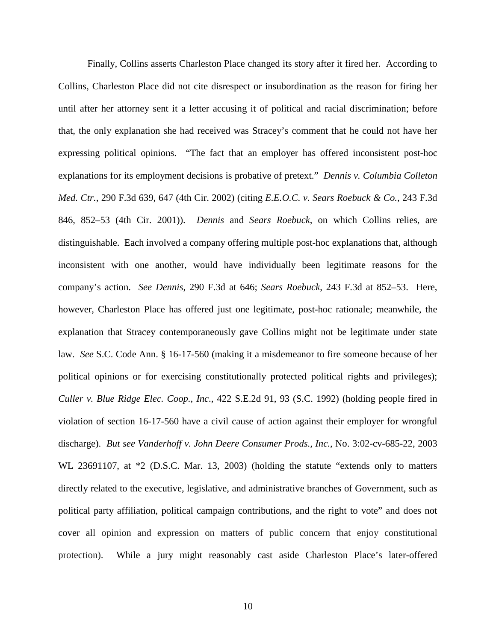Finally, Collins asserts Charleston Place changed its story after it fired her. According to Collins, Charleston Place did not cite disrespect or insubordination as the reason for firing her until after her attorney sent it a letter accusing it of political and racial discrimination; before that, the only explanation she had received was Stracey's comment that he could not have her expressing political opinions. "The fact that an employer has offered inconsistent post-hoc explanations for its employment decisions is probative of pretext." *Dennis v. Columbia Colleton Med. Ctr.*, 290 F.3d 639, 647 (4th Cir. 2002) (citing *E.E.O.C. v. Sears Roebuck & Co.*, 243 F.3d 846, 852–53 (4th Cir. 2001)). *Dennis* and *Sears Roebuck*, on which Collins relies, are distinguishable. Each involved a company offering multiple post-hoc explanations that, although inconsistent with one another, would have individually been legitimate reasons for the company's action. *See Dennis*, 290 F.3d at 646; *Sears Roebuck*, 243 F.3d at 852–53. Here, however, Charleston Place has offered just one legitimate, post-hoc rationale; meanwhile, the explanation that Stracey contemporaneously gave Collins might not be legitimate under state law. *See* S.C. Code Ann. § 16-17-560 (making it a misdemeanor to fire someone because of her political opinions or for exercising constitutionally protected political rights and privileges); *Culler v. Blue Ridge Elec. Coop., Inc*., 422 S.E.2d 91, 93 (S.C. 1992) (holding people fired in violation of section 16-17-560 have a civil cause of action against their employer for wrongful discharge). *But see Vanderhoff v. John Deere Consumer Prods., Inc.*, No. 3:02-cv-685-22, 2003 WL 23691107, at  $*2$  (D.S.C. Mar. 13, 2003) (holding the statute "extends only to matters directly related to the executive, legislative, and administrative branches of Government, such as political party affiliation, political campaign contributions, and the right to vote" and does not cover all opinion and expression on matters of public concern that enjoy constitutional protection). While a jury might reasonably cast aside Charleston Place's later-offered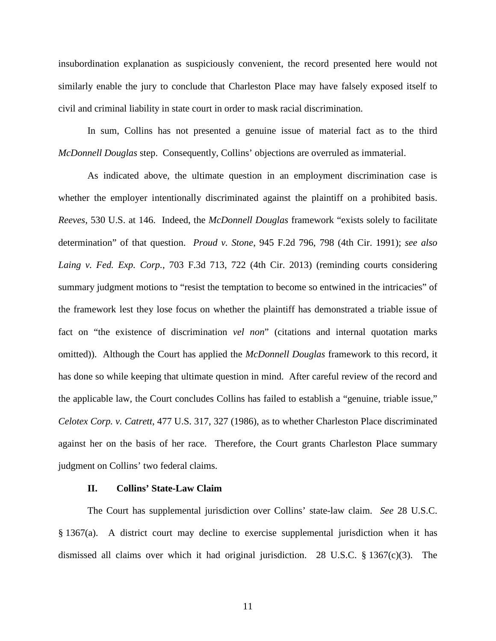insubordination explanation as suspiciously convenient, the record presented here would not similarly enable the jury to conclude that Charleston Place may have falsely exposed itself to civil and criminal liability in state court in order to mask racial discrimination.

 In sum, Collins has not presented a genuine issue of material fact as to the third *McDonnell Douglas* step. Consequently, Collins' objections are overruled as immaterial.

As indicated above, the ultimate question in an employment discrimination case is whether the employer intentionally discriminated against the plaintiff on a prohibited basis. *Reeves*, 530 U.S. at 146. Indeed, the *McDonnell Douglas* framework "exists solely to facilitate determination" of that question. *Proud v. Stone*, 945 F.2d 796, 798 (4th Cir. 1991); *see also*  Laing v. Fed. Exp. Corp., 703 F.3d 713, 722 (4th Cir. 2013) (reminding courts considering summary judgment motions to "resist the temptation to become so entwined in the intricacies" of the framework lest they lose focus on whether the plaintiff has demonstrated a triable issue of fact on "the existence of discrimination *vel non*" (citations and internal quotation marks omitted)). Although the Court has applied the *McDonnell Douglas* framework to this record, it has done so while keeping that ultimate question in mind. After careful review of the record and the applicable law, the Court concludes Collins has failed to establish a "genuine, triable issue," *Celotex Corp. v. Catrett,* 477 U.S. 317, 327 (1986), as to whether Charleston Place discriminated against her on the basis of her race. Therefore, the Court grants Charleston Place summary judgment on Collins' two federal claims.

# **II. Collins' State-Law Claim**

 The Court has supplemental jurisdiction over Collins' state-law claim. *See* 28 U.S.C. § 1367(a). A district court may decline to exercise supplemental jurisdiction when it has dismissed all claims over which it had original jurisdiction. 28 U.S.C.  $\S$  1367(c)(3). The

11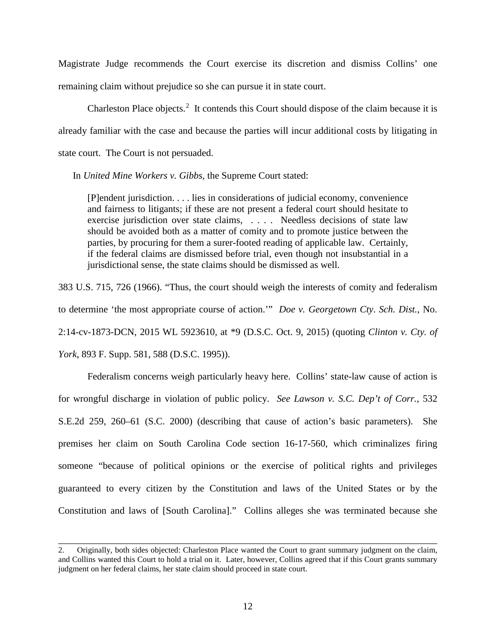Magistrate Judge recommends the Court exercise its discretion and dismiss Collins' one remaining claim without prejudice so she can pursue it in state court.

Charleston Place objects.<sup>[2](#page-11-0)</sup> It contends this Court should dispose of the claim because it is already familiar with the case and because the parties will incur additional costs by litigating in state court. The Court is not persuaded.

In *United Mine Workers v. Gibbs*, the Supreme Court stated:

[P]endent jurisdiction. . . . lies in considerations of judicial economy, convenience and fairness to litigants; if these are not present a federal court should hesitate to exercise jurisdiction over state claims, . . . . Needless decisions of state law should be avoided both as a matter of comity and to promote justice between the parties, by procuring for them a surer-footed reading of applicable law. Certainly, if the federal claims are dismissed before trial, even though not insubstantial in a jurisdictional sense, the state claims should be dismissed as well.

383 U.S. 715, 726 (1966). "Thus, the court should weigh the interests of comity and federalism to determine 'the most appropriate course of action.'" *Doe v. Georgetown Cty*. *Sch. Dist.*, No. 2:14-cv-1873-DCN, 2015 WL 5923610, at \*9 (D.S.C. Oct. 9, 2015) (quoting *Clinton v. Cty. of York*, 893 F. Supp. 581, 588 (D.S.C. 1995)).

 Federalism concerns weigh particularly heavy here. Collins' state-law cause of action is for wrongful discharge in violation of public policy. *See Lawson v. S.C. Dep't of Corr.*, 532 S.E.2d 259, 260–61 (S.C. 2000) (describing that cause of action's basic parameters). She premises her claim on South Carolina Code section 16-17-560, which criminalizes firing someone "because of political opinions or the exercise of political rights and privileges guaranteed to every citizen by the Constitution and laws of the United States or by the Constitution and laws of [South Carolina]." Collins alleges she was terminated because she

\_\_\_\_\_\_\_\_\_\_\_\_\_\_\_\_\_\_\_\_\_\_\_\_\_\_\_\_\_\_\_\_\_\_\_\_\_\_\_\_\_\_\_\_\_\_\_\_\_\_\_\_\_\_\_\_\_\_\_\_\_\_\_\_\_\_\_\_\_\_\_\_\_\_\_\_\_\_

<span id="page-11-0"></span><sup>2.</sup> Originally, both sides objected: Charleston Place wanted the Court to grant summary judgment on the claim, and Collins wanted this Court to hold a trial on it. Later, however, Collins agreed that if this Court grants summary judgment on her federal claims, her state claim should proceed in state court.